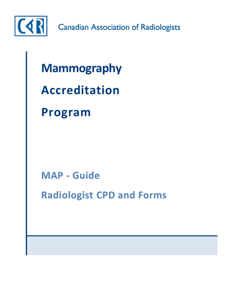

**Canadian Association of Radiologists** 

# **Mammography**

## **Accreditation**

## **Program**

**MAP - Guide**

**Radiologist CPD and Forms**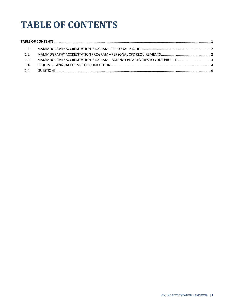## <span id="page-1-0"></span>**TABLE OF CONTENTS**

| 1.1 |                                                                             |  |
|-----|-----------------------------------------------------------------------------|--|
| 1.2 |                                                                             |  |
| 1.3 | MAMMOGRAPHY ACCREDITATION PROGRAM - ADDING CPD ACTIVITIES TO YOUR PROFILE 3 |  |
| 1.4 |                                                                             |  |
| 1.5 |                                                                             |  |
|     |                                                                             |  |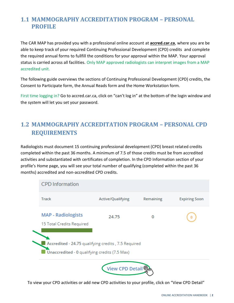### <span id="page-2-0"></span>**1.1 MAMMOGRAPHY ACCREDITATION PROGRAM – PERSONAL PROFILE**

The CAR MAP has provided you with a professional online account at **accred.car.ca**, where you are be able to keep track of your required Continuing Professional Development (CPD) credits and complete the required annual forms to fullfill the conditions for your approval within the MAP. Your approval status is carried across all facilities. Only MAP approved radiologists can interpret images from a MAP accredited unit.

The following guide overviews the sections of Continuing Professional Development (CPD) credits, the Consent to Participate form, the Annual Reads form and the Home Workstation form.

First time logging in? Go to accred.car.ca, click on "can't log in" at the bottom of the login window and the system will let you set your password.

## <span id="page-2-1"></span>**1.2 MAMMOGRAPHY ACCREDITATION PROGRAM – PERSONAL CPD REQUIREMENTS**

Radiologists must document 15 continuing professional development (CPD) breast related credits completed within the past 36 months. A minimum of 7.5 of those credits must be from accredited activities and substantiated with certificates of completion. In the CPD Information section of your profile's Home page, you will see your total number of qualifying (completed within the past 36 months) accredited and non-accredited CPD credits.



To view your CPD activities or add new CPD activities to your profile, click on "View CPD Detail"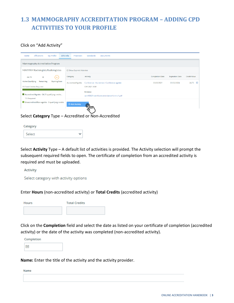## <span id="page-3-0"></span>**1.3 MAMMOGRAPHY ACCREDITATION PROGRAM – ADDING CPD ACTIVITIES TO YOUR PROFILE**

#### Click on "Add Activity"

| Home                                                                                                                                                                                                                                                                                                                                                                                                                                                            | Affiliations              | My Profile | <b>CPD Info</b> | Processes | Standards           | <b>Documents</b> |  |                        |                        |                     |
|-----------------------------------------------------------------------------------------------------------------------------------------------------------------------------------------------------------------------------------------------------------------------------------------------------------------------------------------------------------------------------------------------------------------------------------------------------------------|---------------------------|------------|-----------------|-----------|---------------------|------------------|--|------------------------|------------------------|---------------------|
|                                                                                                                                                                                                                                                                                                                                                                                                                                                                 |                           |            |                 |           |                     |                  |  |                        |                        |                     |
|                                                                                                                                                                                                                                                                                                                                                                                                                                                                 | □ Show Expired Activities |            |                 |           |                     |                  |  |                        |                        |                     |
|                                                                                                                                                                                                                                                                                                                                                                                                                                                                 | $\mathbf 0$               | $\bullet$  |                 |           | <b>Activity</b>     |                  |  | <b>Completion Date</b> | <b>Expiration Date</b> | <b>Credit Value</b> |
|                                                                                                                                                                                                                                                                                                                                                                                                                                                                 |                           |            |                 |           |                     |                  |  | 05/02/2021             | 05/02/2024             | 24.75 $\Theta$      |
|                                                                                                                                                                                                                                                                                                                                                                                                                                                                 |                           |            |                 |           | <b>CAR 2021 ASM</b> |                  |  |                        |                        |                     |
|                                                                                                                                                                                                                                                                                                                                                                                                                                                                 |                           |            |                 |           | Evidence            |                  |  |                        |                        |                     |
| Mammography Accreditation Program<br><b>MAP/PAM Radiologists/Radiologistes</b><br>Category<br>24.75<br><b>Active/Qualifying</b><br><b>Expiring Soon</b><br>Remaining<br>Conference - Accredited / Conférence agréée<br>Accredited/Agréés<br>15 Total Credits Required<br>Accredited/Agréés - 24.75 qualifying credits,<br>car-ASM21-certificate-attendance-form-v1.pdf<br>7.5 Required<br>Unaccredited/Non agréés - 0 qualifying credits<br><b>Add Activity</b> |                           |            |                 |           |                     |                  |  |                        |                        |                     |
|                                                                                                                                                                                                                                                                                                                                                                                                                                                                 |                           |            |                 |           |                     |                  |  |                        |                        |                     |
|                                                                                                                                                                                                                                                                                                                                                                                                                                                                 |                           |            |                 |           |                     |                  |  |                        |                        |                     |
|                                                                                                                                                                                                                                                                                                                                                                                                                                                                 |                           |            |                 |           |                     |                  |  |                        |                        |                     |

#### Select **Category** Type – Accredited or Non-Accredited

| Category |  |  |
|----------|--|--|
| Select   |  |  |

Select **Activity** Type – A default list of activities is provided. The Activity selection will prompt the subsequent required fields to open. The certificate of completion from an accredited activity is required and must be uploaded.

**Activity** 

Select category with activity options

Enter **Hours** (non-accredited activity) or **Total Credits** (accredited activity)

| Hours | <b>Total Credits</b> |  |  |  |
|-------|----------------------|--|--|--|
|       |                      |  |  |  |

Click on the **Completion** field and select the date as listed on your certificate of completion (accredited activity) or the date of the activity was completed (non-accredited activity).

| Completion |  |  |  |  |
|------------|--|--|--|--|
|            |  |  |  |  |

**Name:** Enter the title of the activity and the activity provider.

**Name**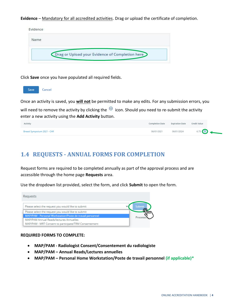**Evidence** – Mandatory for all accredited activities. Drag or upload the certificate of completion.

| Name                                            |  |
|-------------------------------------------------|--|
|                                                 |  |
| Drag or Upload your Evidence of Completion here |  |

Click **Save** once you have populated all required fields.



Once an activity is saved, you **will not** be permitted to make any edits. For any submission errors, you will need to remove the activity by clicking the  $\Theta$  icon. Should you need to re-submit the activity enter a new activity using the **Add Activity** button.

| Activity                    | <b>Completion Date</b> | Expiration Date Credit Value |                |
|-----------------------------|------------------------|------------------------------|----------------|
| Breast Symposium 2021 - CAR | 06/01/2021             | 06/01/2024                   | $6.75$ $\odot$ |

### <span id="page-4-0"></span>**1.4 REQUESTS - ANNUAL FORMS FOR COMPLETION**

Request forms are required to be completed annually as part of the approval process and are accessible through the home page **Requests** area.

Use the dropdown list provided, select the form, and click **Submit** to open the form.

| <b>Requests</b>                                           |        |
|-----------------------------------------------------------|--------|
| Please select the request you would like to submit        |        |
| Please select the request you would like to submit        |        |
| MAP/PAM - Personal Workstation/Poste de travail personnel | Proces |
| <b>MAP/PAM Annual Reads/lectures Annuelles</b>            |        |
| MAP/PAM - MRT Consent to participate/TRM Consentement     |        |

#### **REQUIRED FORMS TO COMPLETE:**

- **MAP/PAM - Radiologist Consent/Consentement du radiologiste**
- **MAP/PAM – Annual Reads/Lectures annuelles**
- **MAP/PAM – Personal Home Workstation/Poste de travail personnel (if applicable)\***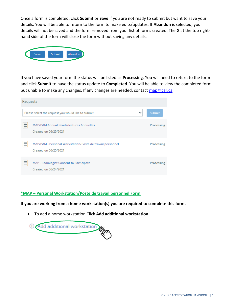Once a form is completed, click **Submit** or **Save** if you are not ready to submit but want to save your details. You will be able to return to the form to make edits/updates. If **Abandon** is selected, your details will not be saved and the form removed from your list of forms created. The **X** at the top righthand side of the form will close the form without saving any details.



If you have saved your form the status will be listed as **Processing**. You will need to return to the form and click **Submit** to have the status update to **Completed**. You will be able to view the completed form, but unable to make any changes. If any changes are needed, contact map@car.ca.

| Requests |                                                                                    |              |            |
|----------|------------------------------------------------------------------------------------|--------------|------------|
|          | Please select the request you would like to submit                                 | $\checkmark$ | Submit     |
| E        | <b>MAP/PAM Annual Reads/lectures Annuelles</b><br>Created on 06/25/2021            |              | Processing |
| E        | MAP/PAM - Personal Workstation/Poste de travail personnel<br>Created on 06/25/2021 |              | Processing |
| E        | <b>MAP</b> - Radiologist Consent to Participate<br>Created on 06/24/2021           |              | Processing |

#### **\*MAP – Personal Workstation/Poste de travail personnel Form**

**If you are working from a home workstation(s) you are required to complete this form**.

• To add a home workstation Click **Add additional workstation**